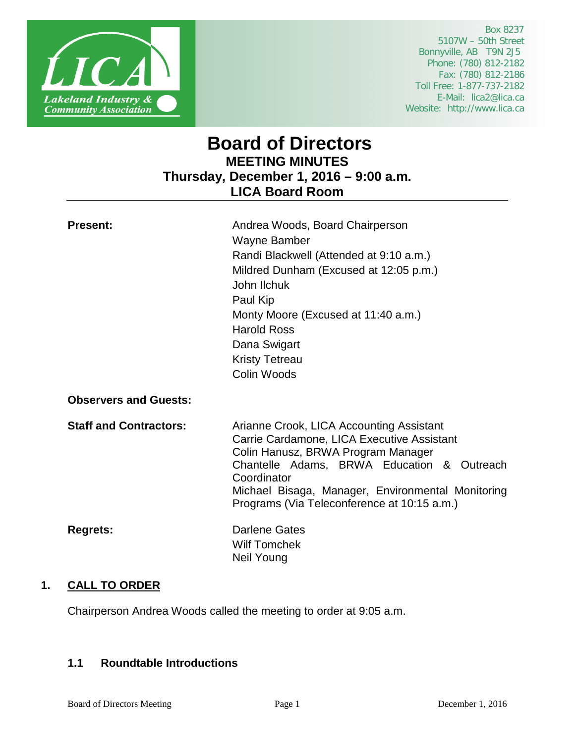

 Box 8237 5107W – 50th Street Bonnyville, AB T9N 2J5 Phone: (780) 812-2182 Fax: (780) 812-2186 Toll Free: 1-877-737-2182 E-Mail: lica2@lica.ca Website: http://www.lica.ca

# **Board of Directors MEETING MINUTES Thursday, December 1, 2016 – 9:00 a.m. LICA Board Room**

| <b>Present:</b>               | Andrea Woods, Board Chairperson<br>Wayne Bamber<br>Randi Blackwell (Attended at 9:10 a.m.)<br>Mildred Dunham (Excused at 12:05 p.m.)<br>John Ilchuk<br>Paul Kip<br>Monty Moore (Excused at 11:40 a.m.)<br><b>Harold Ross</b><br>Dana Swigart<br><b>Kristy Tetreau</b><br>Colin Woods          |
|-------------------------------|-----------------------------------------------------------------------------------------------------------------------------------------------------------------------------------------------------------------------------------------------------------------------------------------------|
| <b>Observers and Guests:</b>  |                                                                                                                                                                                                                                                                                               |
| <b>Staff and Contractors:</b> | Arianne Crook, LICA Accounting Assistant<br>Carrie Cardamone, LICA Executive Assistant<br>Colin Hanusz, BRWA Program Manager<br>Chantelle Adams, BRWA Education & Outreach<br>Coordinator<br>Michael Bisaga, Manager, Environmental Monitoring<br>Programs (Via Teleconference at 10:15 a.m.) |
| <b>Regrets:</b>               | <b>Darlene Gates</b><br><b>Wilf Tomchek</b><br><b>Neil Young</b>                                                                                                                                                                                                                              |

# **1. CALL TO ORDER**

Chairperson Andrea Woods called the meeting to order at 9:05 a.m.

# **1.1 Roundtable Introductions**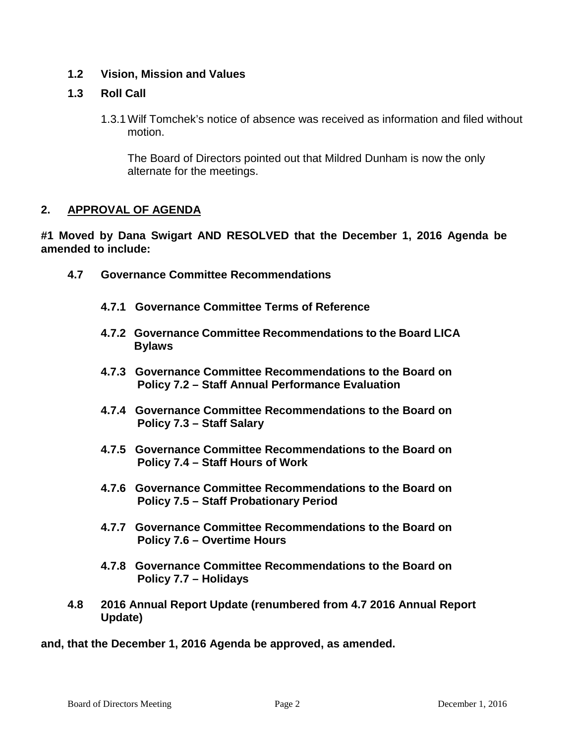# **1.2 Vision, Mission and Values**

# **1.3 Roll Call**

1.3.1Wilf Tomchek's notice of absence was received as information and filed without motion.

The Board of Directors pointed out that Mildred Dunham is now the only alternate for the meetings.

# **2. APPROVAL OF AGENDA**

**#1 Moved by Dana Swigart AND RESOLVED that the December 1, 2016 Agenda be amended to include:**

- **4.7 Governance Committee Recommendations**
	- **4.7.1 Governance Committee Terms of Reference**
	- **4.7.2 Governance Committee Recommendations to the Board LICA Bylaws**
	- **4.7.3 Governance Committee Recommendations to the Board on Policy 7.2 – Staff Annual Performance Evaluation**
	- **4.7.4 Governance Committee Recommendations to the Board on Policy 7.3 – Staff Salary**
	- **4.7.5 Governance Committee Recommendations to the Board on Policy 7.4 – Staff Hours of Work**
	- **4.7.6 Governance Committee Recommendations to the Board on Policy 7.5 – Staff Probationary Period**
	- **4.7.7 Governance Committee Recommendations to the Board on Policy 7.6 – Overtime Hours**
	- **4.7.8 Governance Committee Recommendations to the Board on Policy 7.7 – Holidays**
- **4.8 2016 Annual Report Update (renumbered from 4.7 2016 Annual Report Update)**

**and, that the December 1, 2016 Agenda be approved, as amended.**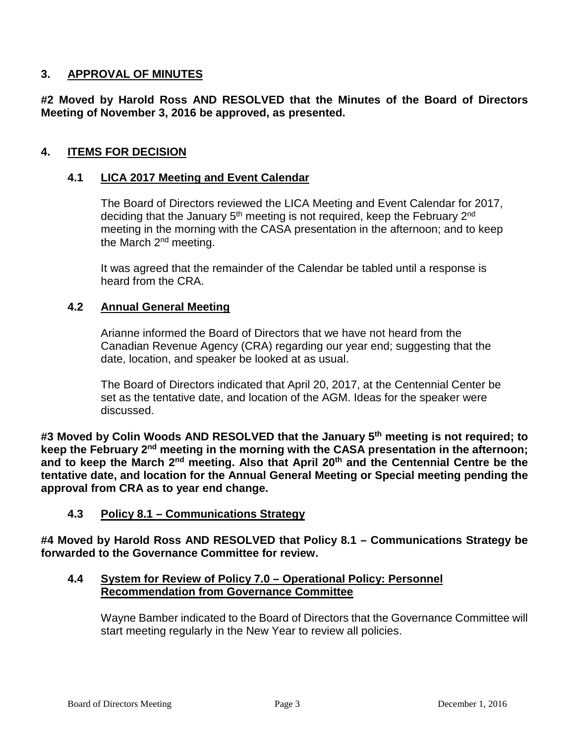# **3. APPROVAL OF MINUTES**

**#2 Moved by Harold Ross AND RESOLVED that the Minutes of the Board of Directors Meeting of November 3, 2016 be approved, as presented.**

# **4. ITEMS FOR DECISION**

# **4.1 LICA 2017 Meeting and Event Calendar**

The Board of Directors reviewed the LICA Meeting and Event Calendar for 2017, deciding that the January 5<sup>th</sup> meeting is not required, keep the February 2<sup>nd</sup> meeting in the morning with the CASA presentation in the afternoon; and to keep the March 2<sup>nd</sup> meeting.

It was agreed that the remainder of the Calendar be tabled until a response is heard from the CRA.

# **4.2 Annual General Meeting**

Arianne informed the Board of Directors that we have not heard from the Canadian Revenue Agency (CRA) regarding our year end; suggesting that the date, location, and speaker be looked at as usual.

The Board of Directors indicated that April 20, 2017, at the Centennial Center be set as the tentative date, and location of the AGM. Ideas for the speaker were discussed.

**#3 Moved by Colin Woods AND RESOLVED that the January 5th meeting is not required; to keep the February 2nd meeting in the morning with the CASA presentation in the afternoon; and to keep the March 2nd meeting. Also that April 20th and the Centennial Centre be the tentative date, and location for the Annual General Meeting or Special meeting pending the approval from CRA as to year end change.**

# **4.3 Policy 8.1 – Communications Strategy**

**#4 Moved by Harold Ross AND RESOLVED that Policy 8.1 – Communications Strategy be forwarded to the Governance Committee for review.**

# **4.4 System for Review of Policy 7.0 – Operational Policy: Personnel Recommendation from Governance Committee**

Wayne Bamber indicated to the Board of Directors that the Governance Committee will start meeting regularly in the New Year to review all policies.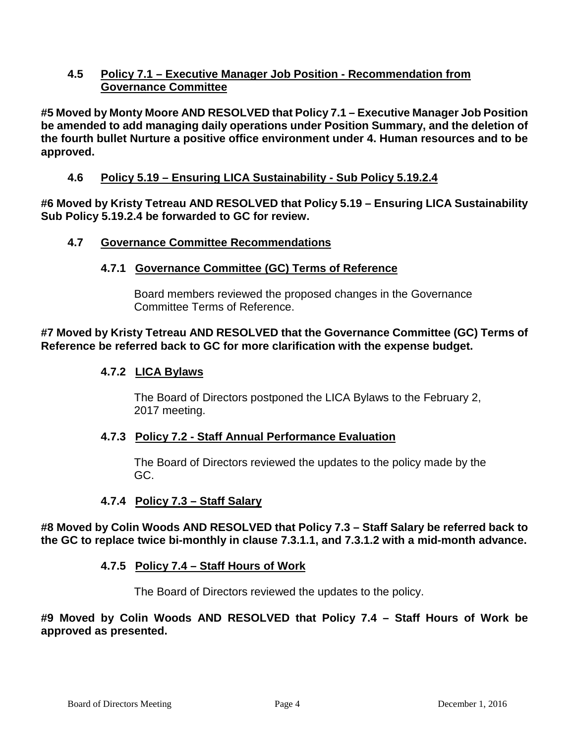# **4.5 Policy 7.1 – Executive Manager Job Position - Recommendation from Governance Committee**

**#5 Moved by Monty Moore AND RESOLVED that Policy 7.1 – Executive Manager Job Position be amended to add managing daily operations under Position Summary, and the deletion of the fourth bullet Nurture a positive office environment under 4. Human resources and to be approved.**

# **4.6 Policy 5.19 – Ensuring LICA Sustainability - Sub Policy 5.19.2.4**

**#6 Moved by Kristy Tetreau AND RESOLVED that Policy 5.19 – Ensuring LICA Sustainability Sub Policy 5.19.2.4 be forwarded to GC for review.**

# **4.7 Governance Committee Recommendations**

# **4.7.1 Governance Committee (GC) Terms of Reference**

Board members reviewed the proposed changes in the Governance Committee Terms of Reference.

# **#7 Moved by Kristy Tetreau AND RESOLVED that the Governance Committee (GC) Terms of Reference be referred back to GC for more clarification with the expense budget.**

# **4.7.2 LICA Bylaws**

The Board of Directors postponed the LICA Bylaws to the February 2, 2017 meeting.

# **4.7.3 Policy 7.2 - Staff Annual Performance Evaluation**

The Board of Directors reviewed the updates to the policy made by the GC.

# **4.7.4 Policy 7.3 – Staff Salary**

**#8 Moved by Colin Woods AND RESOLVED that Policy 7.3 – Staff Salary be referred back to the GC to replace twice bi-monthly in clause 7.3.1.1, and 7.3.1.2 with a mid-month advance.**

# **4.7.5 Policy 7.4 – Staff Hours of Work**

The Board of Directors reviewed the updates to the policy.

**#9 Moved by Colin Woods AND RESOLVED that Policy 7.4 – Staff Hours of Work be approved as presented.**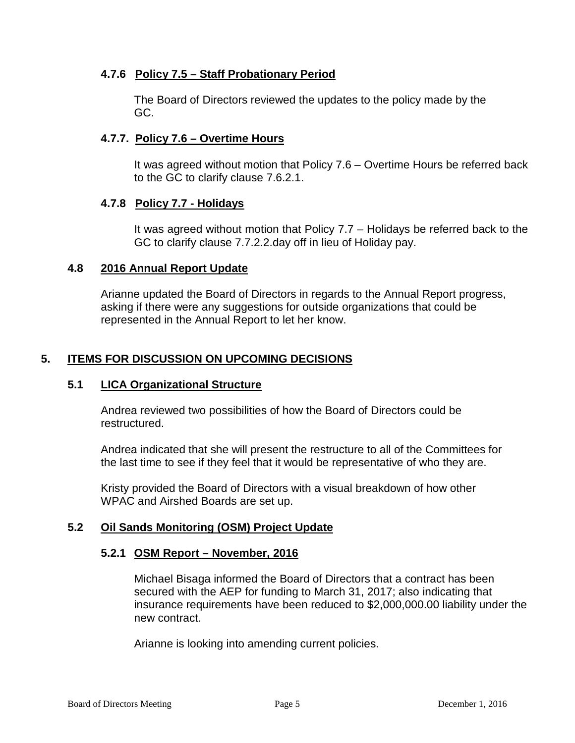# **4.7.6 Policy 7.5 – Staff Probationary Period**

The Board of Directors reviewed the updates to the policy made by the GC.

# **4.7.7. Policy 7.6 – Overtime Hours**

It was agreed without motion that Policy 7.6 – Overtime Hours be referred back to the GC to clarify clause 7.6.2.1.

# **4.7.8 Policy 7.7 - Holidays**

It was agreed without motion that Policy 7.7 – Holidays be referred back to the GC to clarify clause 7.7.2.2.day off in lieu of Holiday pay.

# **4.8 2016 Annual Report Update**

Arianne updated the Board of Directors in regards to the Annual Report progress, asking if there were any suggestions for outside organizations that could be represented in the Annual Report to let her know.

# **5. ITEMS FOR DISCUSSION ON UPCOMING DECISIONS**

# **5.1 LICA Organizational Structure**

Andrea reviewed two possibilities of how the Board of Directors could be restructured.

Andrea indicated that she will present the restructure to all of the Committees for the last time to see if they feel that it would be representative of who they are.

Kristy provided the Board of Directors with a visual breakdown of how other WPAC and Airshed Boards are set up.

# **5.2 Oil Sands Monitoring (OSM) Project Update**

# **5.2.1 OSM Report – November, 2016**

Michael Bisaga informed the Board of Directors that a contract has been secured with the AEP for funding to March 31, 2017; also indicating that insurance requirements have been reduced to \$2,000,000.00 liability under the new contract.

Arianne is looking into amending current policies.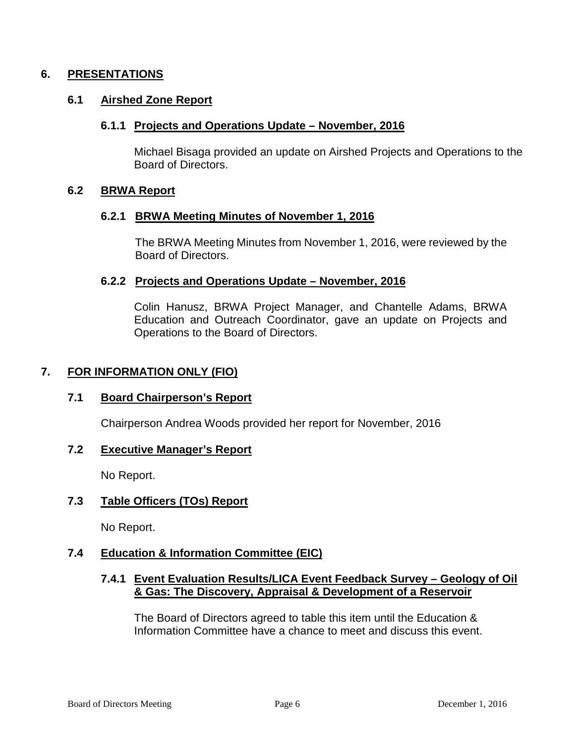## **6. PRESENTATIONS**

### **6.1 Airshed Zone Report**

#### **6.1.1 Projects and Operations Update – November, 2016**

Michael Bisaga provided an update on Airshed Projects and Operations to the Board of Directors.

#### **6.2 BRWA Report**

#### **6.2.1 BRWA Meeting Minutes of November 1, 2016**

The BRWA Meeting Minutes from November 1, 2016, were reviewed by the Board of Directors.

### **6.2.2 Projects and Operations Update – November, 2016**

Colin Hanusz, BRWA Project Manager, and Chantelle Adams, BRWA Education and Outreach Coordinator, gave an update on Projects and Operations to the Board of Directors.

## **7. FOR INFORMATION ONLY (FIO)**

#### **7.1 Board Chairperson's Report**

Chairperson Andrea Woods provided her report for November, 2016

#### **7.2 Executive Manager's Report**

No Report.

#### **7.3 Table Officers (TOs) Report**

No Report.

# **7.4 Education & Information Committee (EIC)**

### **7.4.1 Event Evaluation Results/LICA Event Feedback Survey – Geology of Oil & Gas: The Discovery, Appraisal & Development of a Reservoir**

The Board of Directors agreed to table this item until the Education & Information Committee have a chance to meet and discuss this event.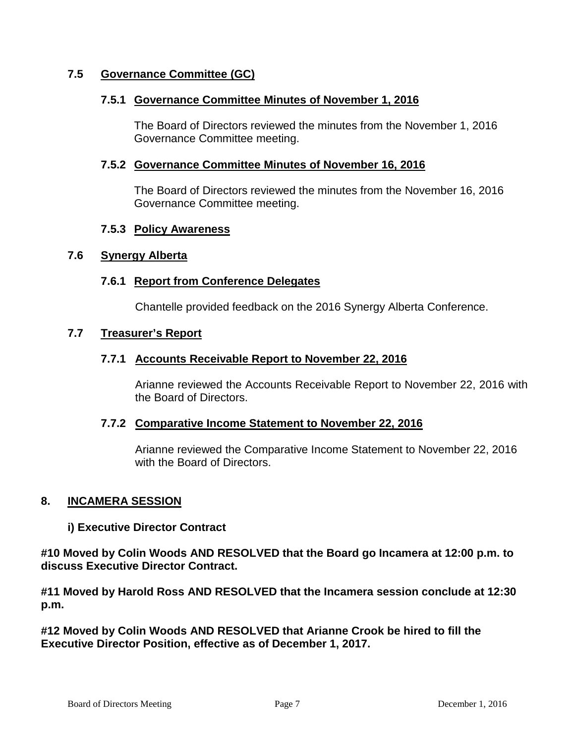# **7.5 Governance Committee (GC)**

## **7.5.1 Governance Committee Minutes of November 1, 2016**

The Board of Directors reviewed the minutes from the November 1, 2016 Governance Committee meeting.

### **7.5.2 Governance Committee Minutes of November 16, 2016**

The Board of Directors reviewed the minutes from the November 16, 2016 Governance Committee meeting.

### **7.5.3 Policy Awareness**

#### **7.6 Synergy Alberta**

### **7.6.1 Report from Conference Delegates**

Chantelle provided feedback on the 2016 Synergy Alberta Conference.

### **7.7 Treasurer's Report**

## **7.7.1 Accounts Receivable Report to November 22, 2016**

Arianne reviewed the Accounts Receivable Report to November 22, 2016 with the Board of Directors.

#### **7.7.2 Comparative Income Statement to November 22, 2016**

Arianne reviewed the Comparative Income Statement to November 22, 2016 with the Board of Directors.

#### **8. INCAMERA SESSION**

#### **i) Executive Director Contract**

**#10 Moved by Colin Woods AND RESOLVED that the Board go Incamera at 12:00 p.m. to discuss Executive Director Contract.**

**#11 Moved by Harold Ross AND RESOLVED that the Incamera session conclude at 12:30 p.m.**

**#12 Moved by Colin Woods AND RESOLVED that Arianne Crook be hired to fill the Executive Director Position, effective as of December 1, 2017.**